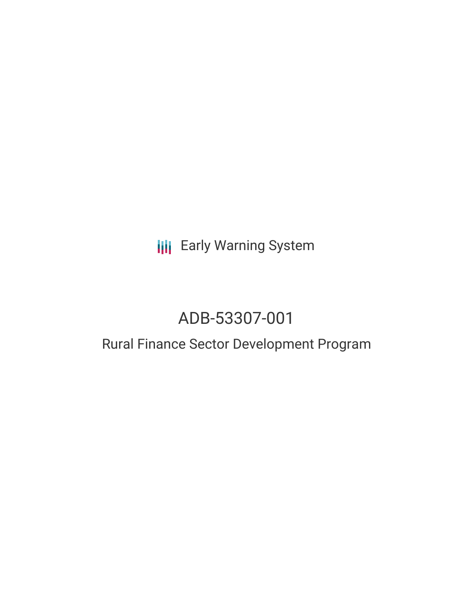## **III** Early Warning System

# ADB-53307-001

### Rural Finance Sector Development Program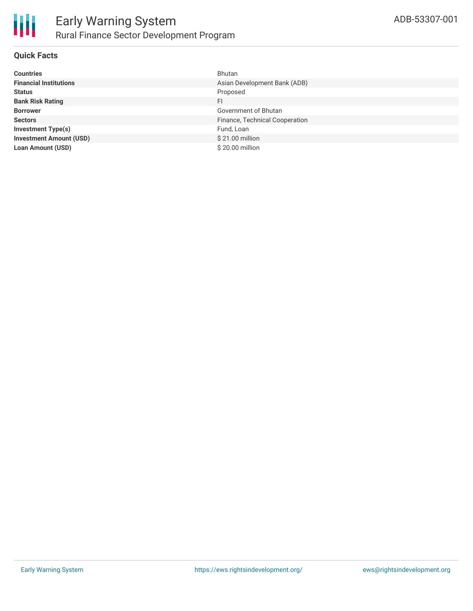

#### **Quick Facts**

| <b>Countries</b>               | Bhutan                         |
|--------------------------------|--------------------------------|
| <b>Financial Institutions</b>  | Asian Development Bank (ADB)   |
| <b>Status</b>                  | Proposed                       |
| <b>Bank Risk Rating</b>        | FI.                            |
| <b>Borrower</b>                | Government of Bhutan           |
| <b>Sectors</b>                 | Finance, Technical Cooperation |
| <b>Investment Type(s)</b>      | Fund, Loan                     |
| <b>Investment Amount (USD)</b> | \$21.00 million                |
| <b>Loan Amount (USD)</b>       | \$20.00 million                |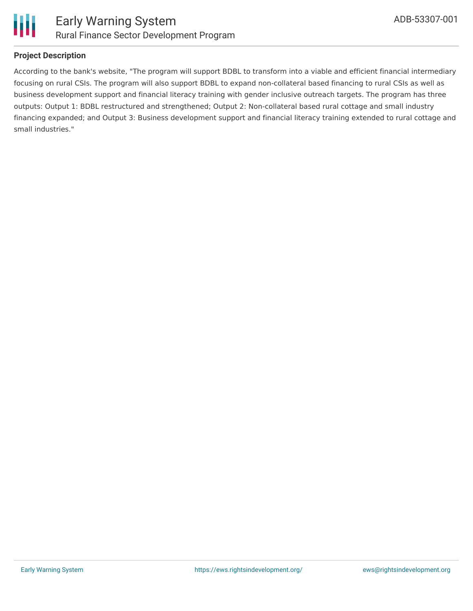

#### **Project Description**

According to the bank's website, "The program will support BDBL to transform into a viable and efficient financial intermediary focusing on rural CSIs. The program will also support BDBL to expand non-collateral based financing to rural CSIs as well as business development support and financial literacy training with gender inclusive outreach targets. The program has three outputs: Output 1: BDBL restructured and strengthened; Output 2: Non-collateral based rural cottage and small industry financing expanded; and Output 3: Business development support and financial literacy training extended to rural cottage and small industries."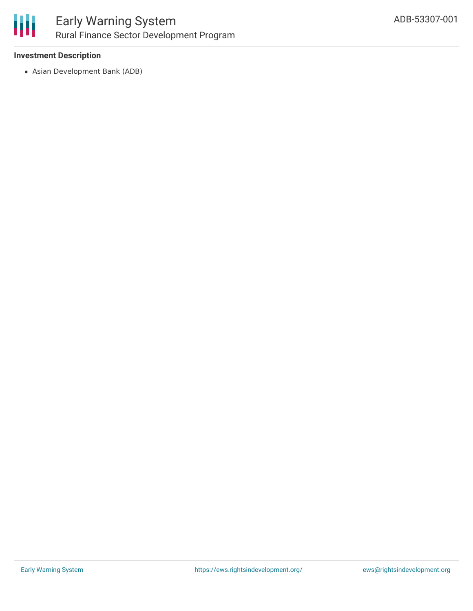

#### **Investment Description**

Asian Development Bank (ADB)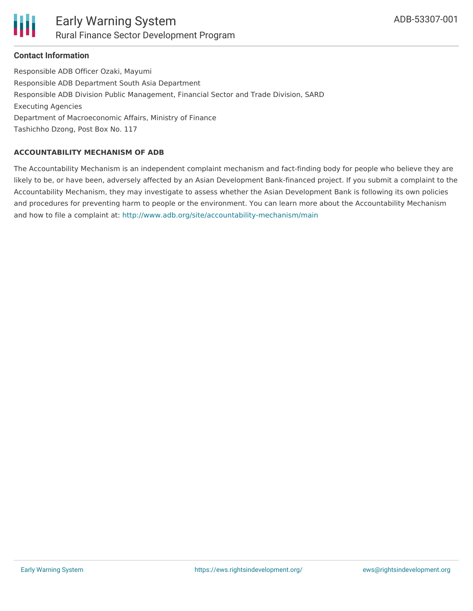#### **Contact Information**

Responsible ADB Officer Ozaki, Mayumi Responsible ADB Department South Asia Department Responsible ADB Division Public Management, Financial Sector and Trade Division, SARD Executing Agencies Department of Macroeconomic Affairs, Ministry of Finance Tashichho Dzong, Post Box No. 117

#### **ACCOUNTABILITY MECHANISM OF ADB**

The Accountability Mechanism is an independent complaint mechanism and fact-finding body for people who believe they are likely to be, or have been, adversely affected by an Asian Development Bank-financed project. If you submit a complaint to the Accountability Mechanism, they may investigate to assess whether the Asian Development Bank is following its own policies and procedures for preventing harm to people or the environment. You can learn more about the Accountability Mechanism and how to file a complaint at: <http://www.adb.org/site/accountability-mechanism/main>